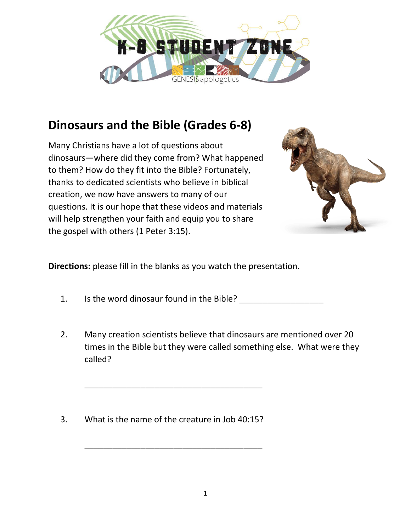

## **Dinosaurs and the Bible (Grades 6-8)**

Many Christians have a lot of questions about dinosaurs—where did they come from? What happened to them? How do they fit into the Bible? Fortunately, thanks to dedicated scientists who believe in biblical creation, we now have answers to many of our questions. It is our hope that these videos and materials will help strengthen your faith and equip you to share the gospel with others (1 Peter 3:15).



**Directions:** please fill in the blanks as you watch the presentation.

- 1. Is the word dinosaur found in the Bible?
- 2. Many creation scientists believe that dinosaurs are mentioned over 20 times in the Bible but they were called something else. What were they called?
- 3. What is the name of the creature in Job 40:15?

\_\_\_\_\_\_\_\_\_\_\_\_\_\_\_\_\_\_\_\_\_\_\_\_\_\_\_\_\_\_\_\_\_\_\_\_\_\_

\_\_\_\_\_\_\_\_\_\_\_\_\_\_\_\_\_\_\_\_\_\_\_\_\_\_\_\_\_\_\_\_\_\_\_\_\_\_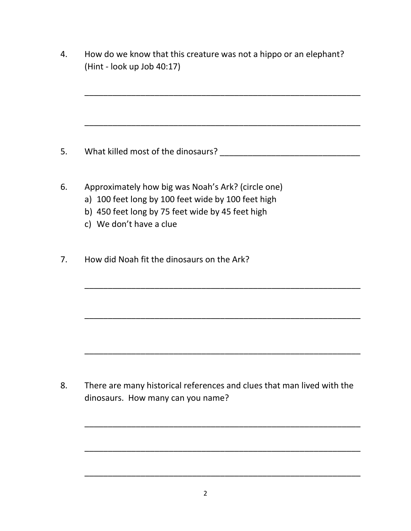4. How do we know that this creature was not a hippo or an elephant? (Hint - look up Job 40:17)

\_\_\_\_\_\_\_\_\_\_\_\_\_\_\_\_\_\_\_\_\_\_\_\_\_\_\_\_\_\_\_\_\_\_\_\_\_\_\_\_\_\_\_\_\_\_\_\_\_\_\_\_\_\_\_\_\_\_\_

\_\_\_\_\_\_\_\_\_\_\_\_\_\_\_\_\_\_\_\_\_\_\_\_\_\_\_\_\_\_\_\_\_\_\_\_\_\_\_\_\_\_\_\_\_\_\_\_\_\_\_\_\_\_\_\_\_\_\_

\_\_\_\_\_\_\_\_\_\_\_\_\_\_\_\_\_\_\_\_\_\_\_\_\_\_\_\_\_\_\_\_\_\_\_\_\_\_\_\_\_\_\_\_\_\_\_\_\_\_\_\_\_\_\_\_\_\_\_

\_\_\_\_\_\_\_\_\_\_\_\_\_\_\_\_\_\_\_\_\_\_\_\_\_\_\_\_\_\_\_\_\_\_\_\_\_\_\_\_\_\_\_\_\_\_\_\_\_\_\_\_\_\_\_\_\_\_\_

\_\_\_\_\_\_\_\_\_\_\_\_\_\_\_\_\_\_\_\_\_\_\_\_\_\_\_\_\_\_\_\_\_\_\_\_\_\_\_\_\_\_\_\_\_\_\_\_\_\_\_\_\_\_\_\_\_\_\_

\_\_\_\_\_\_\_\_\_\_\_\_\_\_\_\_\_\_\_\_\_\_\_\_\_\_\_\_\_\_\_\_\_\_\_\_\_\_\_\_\_\_\_\_\_\_\_\_\_\_\_\_\_\_\_\_\_\_\_

\_\_\_\_\_\_\_\_\_\_\_\_\_\_\_\_\_\_\_\_\_\_\_\_\_\_\_\_\_\_\_\_\_\_\_\_\_\_\_\_\_\_\_\_\_\_\_\_\_\_\_\_\_\_\_\_\_\_\_

\_\_\_\_\_\_\_\_\_\_\_\_\_\_\_\_\_\_\_\_\_\_\_\_\_\_\_\_\_\_\_\_\_\_\_\_\_\_\_\_\_\_\_\_\_\_\_\_\_\_\_\_\_\_\_\_\_\_\_

- 5. What killed most of the dinosaurs? The manufacturer of the dinosaurs of the dinosaurs of the manufacturer of the manufacturer of the manufacturer of the manufacturer of the manufacturer of the manufacturer of the manufa
- 6. Approximately how big was Noah's Ark? (circle one)
	- a) 100 feet long by 100 feet wide by 100 feet high
	- b) 450 feet long by 75 feet wide by 45 feet high
	- c) We don't have a clue
- 7. How did Noah fit the dinosaurs on the Ark?

8. There are many historical references and clues that man lived with the dinosaurs. How many can you name?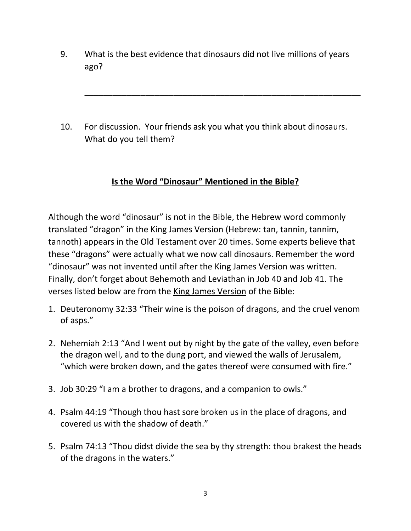9. What is the best evidence that dinosaurs did not live millions of years ago?

\_\_\_\_\_\_\_\_\_\_\_\_\_\_\_\_\_\_\_\_\_\_\_\_\_\_\_\_\_\_\_\_\_\_\_\_\_\_\_\_\_\_\_\_\_\_\_\_\_\_\_\_\_\_\_\_\_\_\_

10. For discussion. Your friends ask you what you think about dinosaurs. What do you tell them?

## **Is the Word "Dinosaur" Mentioned in the Bible?**

Although the word "dinosaur" is not in the Bible, the Hebrew word commonly translated "dragon" in the King James Version (Hebrew: tan, tannin, tannim, tannoth) appears in the Old Testament over 20 times. Some experts believe that these "dragons" were actually what we now call dinosaurs. Remember the word "dinosaur" was not invented until after the King James Version was written. Finally, don't forget about Behemoth and Leviathan in Job 40 and Job 41. The verses listed below are from the King James Version of the Bible:

- 1. Deuteronomy 32:33 "Their wine is the poison of dragons, and the cruel venom of asps."
- 2. Nehemiah 2:13 "And I went out by night by the gate of the valley, even before the dragon well, and to the dung port, and viewed the walls of Jerusalem, "which were broken down, and the gates thereof were consumed with fire."
- 3. Job 30:29 "I am a brother to dragons, and a companion to owls."
- 4. Psalm 44:19 "Though thou hast sore broken us in the place of dragons, and covered us with the shadow of death."
- 5. Psalm 74:13 "Thou didst divide the sea by thy strength: thou brakest the heads of the dragons in the waters."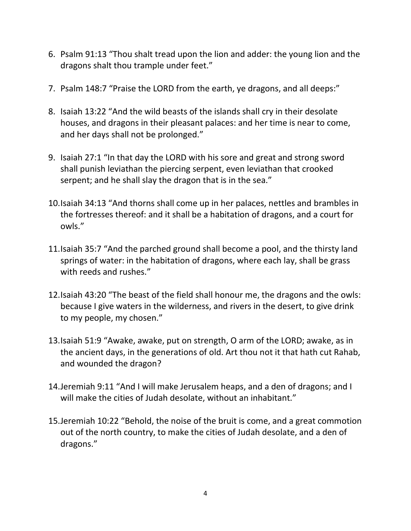- 6. Psalm 91:13 "Thou shalt tread upon the lion and adder: the young lion and the dragons shalt thou trample under feet."
- 7. Psalm 148:7 "Praise the LORD from the earth, ye dragons, and all deeps:"
- 8. Isaiah 13:22 "And the wild beasts of the islands shall cry in their desolate houses, and dragons in their pleasant palaces: and her time is near to come, and her days shall not be prolonged."
- 9. Isaiah 27:1 "In that day the LORD with his sore and great and strong sword shall punish leviathan the piercing serpent, even leviathan that crooked serpent; and he shall slay the dragon that is in the sea."
- 10.Isaiah 34:13 "And thorns shall come up in her palaces, nettles and brambles in the fortresses thereof: and it shall be a habitation of dragons, and a court for owls."
- 11.Isaiah 35:7 "And the parched ground shall become a pool, and the thirsty land springs of water: in the habitation of dragons, where each lay, shall be grass with reeds and rushes."
- 12.Isaiah 43:20 "The beast of the field shall honour me, the dragons and the owls: because I give waters in the wilderness, and rivers in the desert, to give drink to my people, my chosen."
- 13.Isaiah 51:9 "Awake, awake, put on strength, O arm of the LORD; awake, as in the ancient days, in the generations of old. Art thou not it that hath cut Rahab, and wounded the dragon?
- 14.Jeremiah 9:11 "And I will make Jerusalem heaps, and a den of dragons; and I will make the cities of Judah desolate, without an inhabitant."
- 15.Jeremiah 10:22 "Behold, the noise of the bruit is come, and a great commotion out of the north country, to make the cities of Judah desolate, and a den of dragons."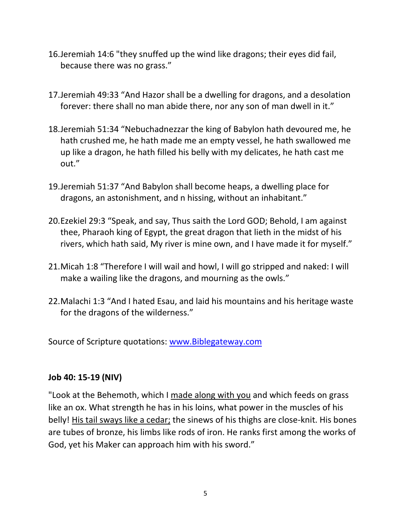- 16.Jeremiah 14:6 "they snuffed up the wind like dragons; their eyes did fail, because there was no grass."
- 17.Jeremiah 49:33 "And Hazor shall be a dwelling for dragons, and a desolation forever: there shall no man abide there, nor any son of man dwell in it."
- 18.Jeremiah 51:34 "Nebuchadnezzar the king of Babylon hath devoured me, he hath crushed me, he hath made me an empty vessel, he hath swallowed me up like a dragon, he hath filled his belly with my delicates, he hath cast me out."
- 19.Jeremiah 51:37 "And Babylon shall become heaps, a dwelling place for dragons, an astonishment, and n hissing, without an inhabitant."
- 20.Ezekiel 29:3 "Speak, and say, Thus saith the Lord GOD; Behold, I am against thee, Pharaoh king of Egypt, the great dragon that lieth in the midst of his rivers, which hath said, My river is mine own, and I have made it for myself."
- 21.Micah 1:8 "Therefore I will wail and howl, I will go stripped and naked: I will make a wailing like the dragons, and mourning as the owls."
- 22.Malachi 1:3 "And I hated Esau, and laid his mountains and his heritage waste for the dragons of the wilderness."

Source of Scripture quotations: [www.Biblegateway.com](http://www.biblegateway.com/)

## **Job 40: 15-19 (NIV)**

"Look at the Behemoth, which I made along with you and which feeds on grass like an ox. What strength he has in his loins, what power in the muscles of his belly! His tail sways like a cedar; the sinews of his thighs are close-knit. His bones are tubes of bronze, his limbs like rods of iron. He ranks first among the works of God, yet his Maker can approach him with his sword."